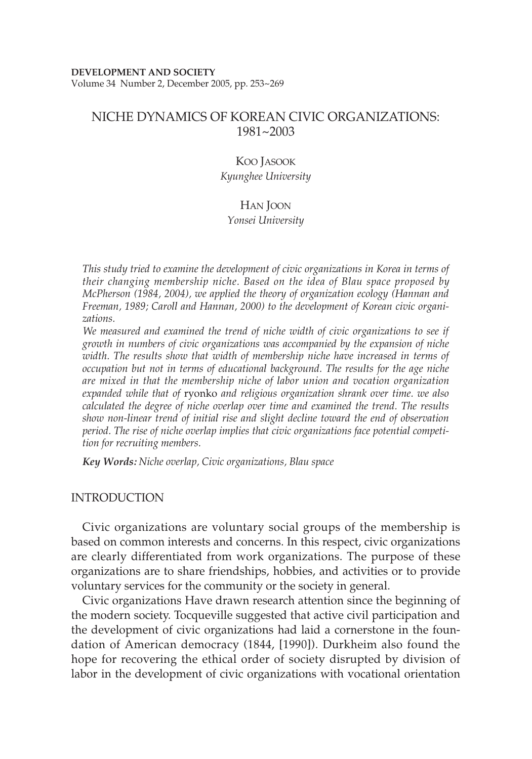Volume 34 Number 2, December 2005, pp. 253~269

# NICHE DYNAMICS OF KOREAN CIVIC ORGANIZATIONS: 1981~2003

## KOO JASOOK *Kyunghee University*

## HAN JOON

#### *Yonsei University*

*This study tried to examine the development of civic organizations in Korea in terms of their changing membership niche. Based on the idea of Blau space proposed by McPherson (1984, 2004), we applied the theory of organization ecology (Hannan and Freeman, 1989; Caroll and Hannan, 2000) to the development of Korean civic organizations.* 

*We measured and examined the trend of niche width of civic organizations to see if growth in numbers of civic organizations was accompanied by the expansion of niche width. The results show that width of membership niche have increased in terms of occupation but not in terms of educational background. The results for the age niche are mixed in that the membership niche of labor union and vocation organization expanded while that of* ryonko *and religious organization shrank over time. we also calculated the degree of niche overlap over time and examined the trend. The results show non-linear trend of initial rise and slight decline toward the end of observation period. The rise of niche overlap implies that civic organizations face potential competition for recruiting members.* 

*Key Words: Niche overlap, Civic organizations, Blau space*

### INTRODUCTION

Civic organizations are voluntary social groups of the membership is based on common interests and concerns. In this respect, civic organizations are clearly differentiated from work organizations. The purpose of these organizations are to share friendships, hobbies, and activities or to provide voluntary services for the community or the society in general.

Civic organizations Have drawn research attention since the beginning of the modern society. Tocqueville suggested that active civil participation and the development of civic organizations had laid a cornerstone in the foundation of American democracy (1844, [1990]). Durkheim also found the hope for recovering the ethical order of society disrupted by division of labor in the development of civic organizations with vocational orientation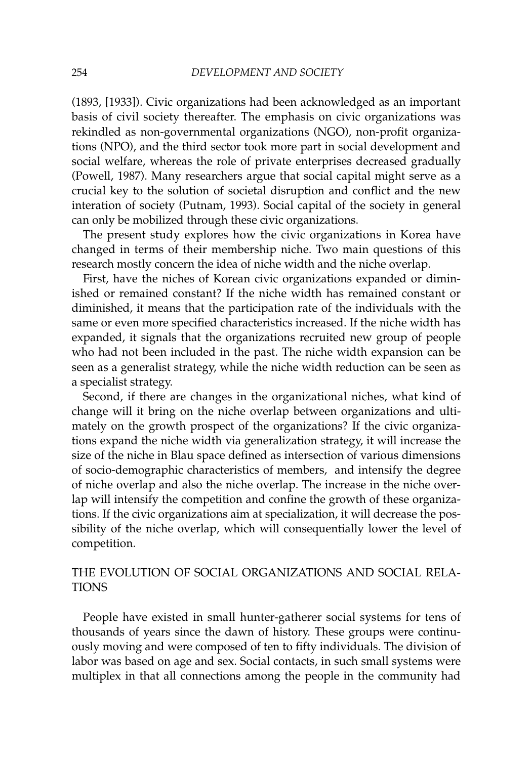(1893, [1933]). Civic organizations had been acknowledged as an important basis of civil society thereafter. The emphasis on civic organizations was rekindled as non-governmental organizations (NGO), non-profit organizations (NPO), and the third sector took more part in social development and social welfare, whereas the role of private enterprises decreased gradually (Powell, 1987). Many researchers argue that social capital might serve as a crucial key to the solution of societal disruption and conflict and the new interation of society (Putnam, 1993). Social capital of the society in general can only be mobilized through these civic organizations.

The present study explores how the civic organizations in Korea have changed in terms of their membership niche. Two main questions of this research mostly concern the idea of niche width and the niche overlap.

First, have the niches of Korean civic organizations expanded or diminished or remained constant? If the niche width has remained constant or diminished, it means that the participation rate of the individuals with the same or even more specified characteristics increased. If the niche width has expanded, it signals that the organizations recruited new group of people who had not been included in the past. The niche width expansion can be seen as a generalist strategy, while the niche width reduction can be seen as a specialist strategy.

Second, if there are changes in the organizational niches, what kind of change will it bring on the niche overlap between organizations and ultimately on the growth prospect of the organizations? If the civic organizations expand the niche width via generalization strategy, it will increase the size of the niche in Blau space defined as intersection of various dimensions of socio-demographic characteristics of members, and intensify the degree of niche overlap and also the niche overlap. The increase in the niche overlap will intensify the competition and confine the growth of these organizations. If the civic organizations aim at specialization, it will decrease the possibility of the niche overlap, which will consequentially lower the level of competition.

# THE EVOLUTION OF SOCIAL ORGANIZATIONS AND SOCIAL RELA-**TIONS**

People have existed in small hunter-gatherer social systems for tens of thousands of years since the dawn of history. These groups were continuously moving and were composed of ten to fifty individuals. The division of labor was based on age and sex. Social contacts, in such small systems were multiplex in that all connections among the people in the community had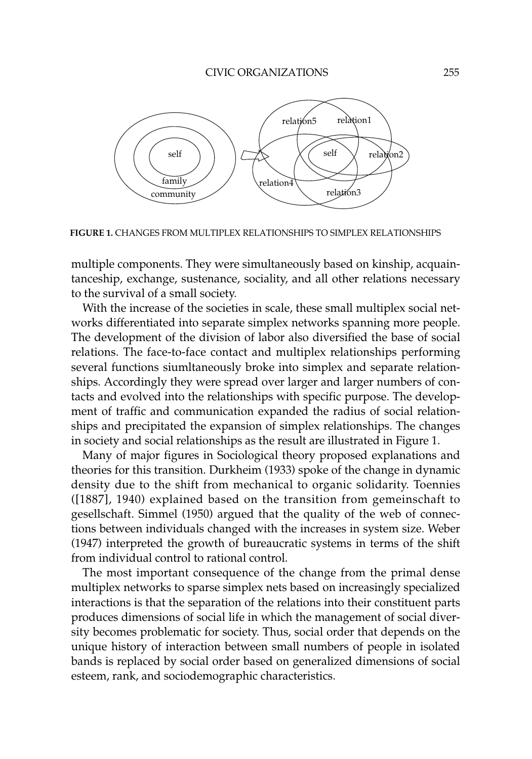

**FIGURE 1.** CHANGES FROM MULTIPLEX RELATIONSHIPS TO SIMPLEX RELATIONSHIPS

multiple components. They were simultaneously based on kinship, acquaintanceship, exchange, sustenance, sociality, and all other relations necessary to the survival of a small society.

With the increase of the societies in scale, these small multiplex social networks differentiated into separate simplex networks spanning more people. The development of the division of labor also diversified the base of social relations. The face-to-face contact and multiplex relationships performing several functions siumltaneously broke into simplex and separate relationships. Accordingly they were spread over larger and larger numbers of contacts and evolved into the relationships with specific purpose. The development of traffic and communication expanded the radius of social relationships and precipitated the expansion of simplex relationships. The changes in society and social relationships as the result are illustrated in Figure 1.

Many of major figures in Sociological theory proposed explanations and theories for this transition. Durkheim (1933) spoke of the change in dynamic density due to the shift from mechanical to organic solidarity. Toennies ([1887], 1940) explained based on the transition from gemeinschaft to gesellschaft. Simmel (1950) argued that the quality of the web of connections between individuals changed with the increases in system size. Weber (1947) interpreted the growth of bureaucratic systems in terms of the shift from individual control to rational control.

The most important consequence of the change from the primal dense multiplex networks to sparse simplex nets based on increasingly specialized interactions is that the separation of the relations into their constituent parts produces dimensions of social life in which the management of social diversity becomes problematic for society. Thus, social order that depends on the unique history of interaction between small numbers of people in isolated bands is replaced by social order based on generalized dimensions of social esteem, rank, and sociodemographic characteristics.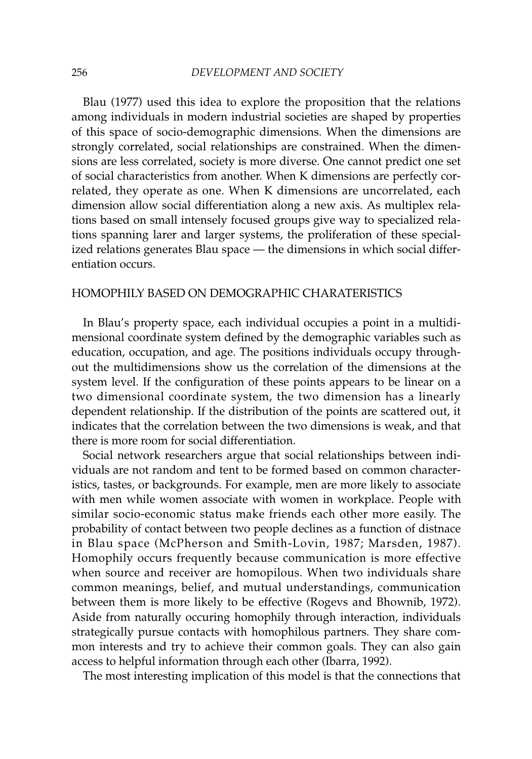Blau (1977) used this idea to explore the proposition that the relations among individuals in modern industrial societies are shaped by properties of this space of socio-demographic dimensions. When the dimensions are strongly correlated, social relationships are constrained. When the dimensions are less correlated, society is more diverse. One cannot predict one set of social characteristics from another. When K dimensions are perfectly correlated, they operate as one. When K dimensions are uncorrelated, each dimension allow social differentiation along a new axis. As multiplex relations based on small intensely focused groups give way to specialized relations spanning larer and larger systems, the proliferation of these specialized relations generates Blau space — the dimensions in which social differentiation occurs.

## HOMOPHILY BASED ON DEMOGRAPHIC CHARATERISTICS

In Blau's property space, each individual occupies a point in a multidimensional coordinate system defined by the demographic variables such as education, occupation, and age. The positions individuals occupy throughout the multidimensions show us the correlation of the dimensions at the system level. If the configuration of these points appears to be linear on a two dimensional coordinate system, the two dimension has a linearly dependent relationship. If the distribution of the points are scattered out, it indicates that the correlation between the two dimensions is weak, and that there is more room for social differentiation.

Social network researchers argue that social relationships between individuals are not random and tent to be formed based on common characteristics, tastes, or backgrounds. For example, men are more likely to associate with men while women associate with women in workplace. People with similar socio-economic status make friends each other more easily. The probability of contact between two people declines as a function of distnace in Blau space (McPherson and Smith-Lovin, 1987; Marsden, 1987). Homophily occurs frequently because communication is more effective when source and receiver are homopilous. When two individuals share common meanings, belief, and mutual understandings, communication between them is more likely to be effective (Rogevs and Bhownib, 1972). Aside from naturally occuring homophily through interaction, individuals strategically pursue contacts with homophilous partners. They share common interests and try to achieve their common goals. They can also gain access to helpful information through each other (Ibarra, 1992).

The most interesting implication of this model is that the connections that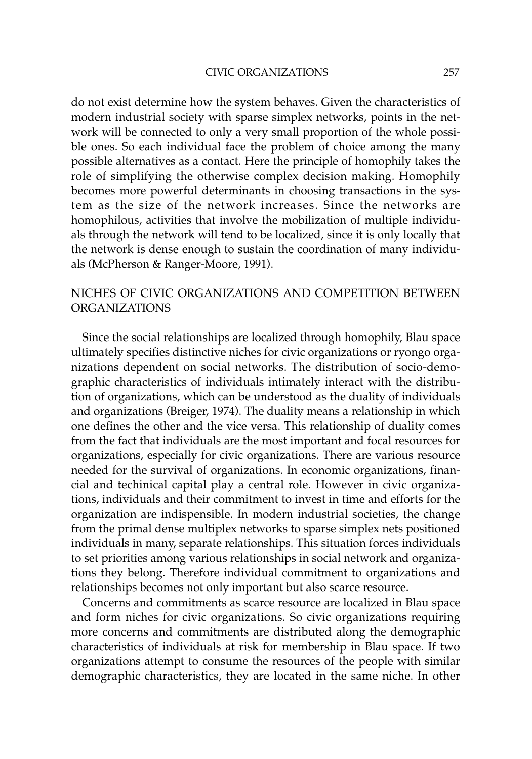do not exist determine how the system behaves. Given the characteristics of modern industrial society with sparse simplex networks, points in the network will be connected to only a very small proportion of the whole possible ones. So each individual face the problem of choice among the many possible alternatives as a contact. Here the principle of homophily takes the role of simplifying the otherwise complex decision making. Homophily becomes more powerful determinants in choosing transactions in the system as the size of the network increases. Since the networks are homophilous, activities that involve the mobilization of multiple individuals through the network will tend to be localized, since it is only locally that the network is dense enough to sustain the coordination of many individuals (McPherson & Ranger-Moore, 1991).

# NICHES OF CIVIC ORGANIZATIONS AND COMPETITION BETWEEN ORGANIZATIONS

Since the social relationships are localized through homophily, Blau space ultimately specifies distinctive niches for civic organizations or ryongo organizations dependent on social networks. The distribution of socio-demographic characteristics of individuals intimately interact with the distribution of organizations, which can be understood as the duality of individuals and organizations (Breiger, 1974). The duality means a relationship in which one defines the other and the vice versa. This relationship of duality comes from the fact that individuals are the most important and focal resources for organizations, especially for civic organizations. There are various resource needed for the survival of organizations. In economic organizations, financial and techinical capital play a central role. However in civic organizations, individuals and their commitment to invest in time and efforts for the organization are indispensible. In modern industrial societies, the change from the primal dense multiplex networks to sparse simplex nets positioned individuals in many, separate relationships. This situation forces individuals to set priorities among various relationships in social network and organizations they belong. Therefore individual commitment to organizations and relationships becomes not only important but also scarce resource.

Concerns and commitments as scarce resource are localized in Blau space and form niches for civic organizations. So civic organizations requiring more concerns and commitments are distributed along the demographic characteristics of individuals at risk for membership in Blau space. If two organizations attempt to consume the resources of the people with similar demographic characteristics, they are located in the same niche. In other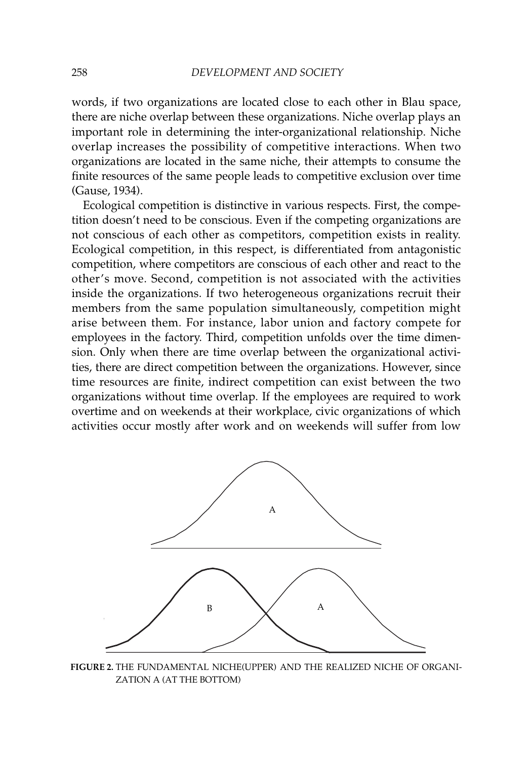words, if two organizations are located close to each other in Blau space, there are niche overlap between these organizations. Niche overlap plays an important role in determining the inter-organizational relationship. Niche overlap increases the possibility of competitive interactions. When two organizations are located in the same niche, their attempts to consume the finite resources of the same people leads to competitive exclusion over time (Gause, 1934).

Ecological competition is distinctive in various respects. First, the competition doesn't need to be conscious. Even if the competing organizations are not conscious of each other as competitors, competition exists in reality. Ecological competition, in this respect, is differentiated from antagonistic competition, where competitors are conscious of each other and react to the other's move. Second, competition is not associated with the activities inside the organizations. If two heterogeneous organizations recruit their members from the same population simultaneously, competition might arise between them. For instance, labor union and factory compete for employees in the factory. Third, competition unfolds over the time dimension. Only when there are time overlap between the organizational activities, there are direct competition between the organizations. However, since time resources are finite, indirect competition can exist between the two organizations without time overlap. If the employees are required to work overtime and on weekends at their workplace, civic organizations of which activities occur mostly after work and on weekends will suffer from low



**FIGURE 2.** THE FUNDAMENTAL NICHE(UPPER) AND THE REALIZED NICHE OF ORGANI-ZATION A (AT THE BOTTOM)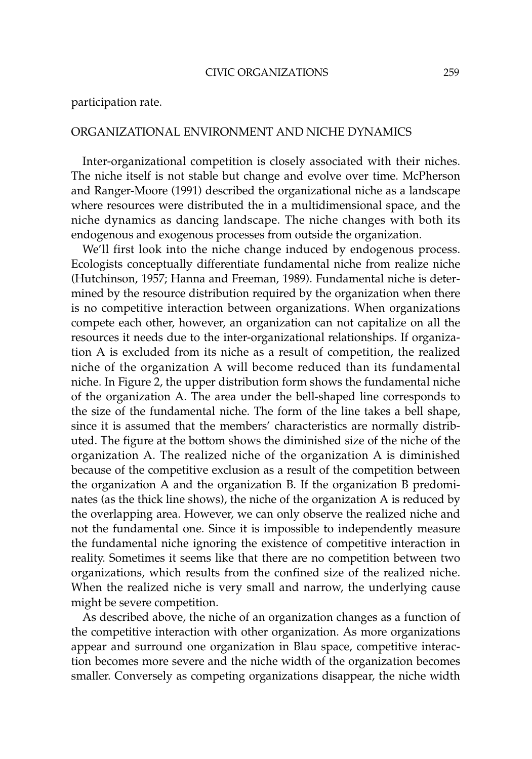## ORGANIZATIONAL ENVIRONMENT AND NICHE DYNAMICS

Inter-organizational competition is closely associated with their niches. The niche itself is not stable but change and evolve over time. McPherson and Ranger-Moore (1991) described the organizational niche as a landscape where resources were distributed the in a multidimensional space, and the niche dynamics as dancing landscape. The niche changes with both its endogenous and exogenous processes from outside the organization.

We'll first look into the niche change induced by endogenous process. Ecologists conceptually differentiate fundamental niche from realize niche (Hutchinson, 1957; Hanna and Freeman, 1989). Fundamental niche is determined by the resource distribution required by the organization when there is no competitive interaction between organizations. When organizations compete each other, however, an organization can not capitalize on all the resources it needs due to the inter-organizational relationships. If organization A is excluded from its niche as a result of competition, the realized niche of the organization A will become reduced than its fundamental niche. In Figure 2, the upper distribution form shows the fundamental niche of the organization A. The area under the bell-shaped line corresponds to the size of the fundamental niche. The form of the line takes a bell shape, since it is assumed that the members' characteristics are normally distributed. The figure at the bottom shows the diminished size of the niche of the organization A. The realized niche of the organization A is diminished because of the competitive exclusion as a result of the competition between the organization A and the organization B. If the organization B predominates (as the thick line shows), the niche of the organization A is reduced by the overlapping area. However, we can only observe the realized niche and not the fundamental one. Since it is impossible to independently measure the fundamental niche ignoring the existence of competitive interaction in reality. Sometimes it seems like that there are no competition between two organizations, which results from the confined size of the realized niche. When the realized niche is very small and narrow, the underlying cause might be severe competition.

As described above, the niche of an organization changes as a function of the competitive interaction with other organization. As more organizations appear and surround one organization in Blau space, competitive interaction becomes more severe and the niche width of the organization becomes smaller. Conversely as competing organizations disappear, the niche width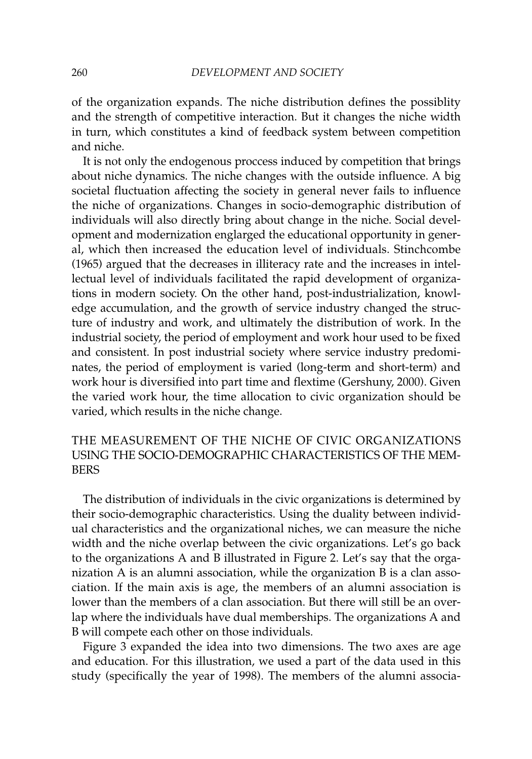of the organization expands. The niche distribution defines the possiblity and the strength of competitive interaction. But it changes the niche width in turn, which constitutes a kind of feedback system between competition and niche.

It is not only the endogenous proccess induced by competition that brings about niche dynamics. The niche changes with the outside influence. A big societal fluctuation affecting the society in general never fails to influence the niche of organizations. Changes in socio-demographic distribution of individuals will also directly bring about change in the niche. Social development and modernization englarged the educational opportunity in general, which then increased the education level of individuals. Stinchcombe (1965) argued that the decreases in illiteracy rate and the increases in intellectual level of individuals facilitated the rapid development of organizations in modern society. On the other hand, post-industrialization, knowledge accumulation, and the growth of service industry changed the structure of industry and work, and ultimately the distribution of work. In the industrial society, the period of employment and work hour used to be fixed and consistent. In post industrial society where service industry predominates, the period of employment is varied (long-term and short-term) and work hour is diversified into part time and flextime (Gershuny, 2000). Given the varied work hour, the time allocation to civic organization should be varied, which results in the niche change.

# THE MEASUREMENT OF THE NICHE OF CIVIC ORGANIZATIONS USING THE SOCIO-DEMOGRAPHIC CHARACTERISTICS OF THE MEM-BERS

The distribution of individuals in the civic organizations is determined by their socio-demographic characteristics. Using the duality between individual characteristics and the organizational niches, we can measure the niche width and the niche overlap between the civic organizations. Let's go back to the organizations A and B illustrated in Figure 2. Let's say that the organization A is an alumni association, while the organization B is a clan association. If the main axis is age, the members of an alumni association is lower than the members of a clan association. But there will still be an overlap where the individuals have dual memberships. The organizations A and B will compete each other on those individuals.

Figure 3 expanded the idea into two dimensions. The two axes are age and education. For this illustration, we used a part of the data used in this study (specifically the year of 1998). The members of the alumni associa-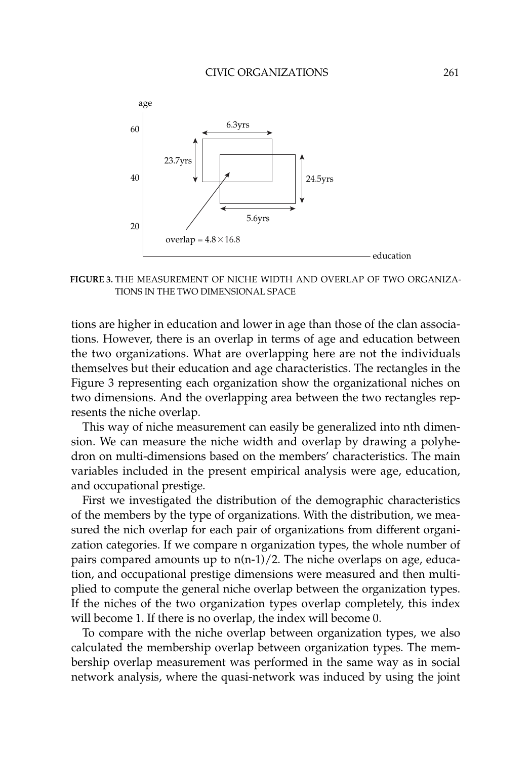

**FIGURE 3.** THE MEASUREMENT OF NICHE WIDTH AND OVERLAP OF TWO ORGANIZA-TIONS IN THE TWO DIMENSIONAL SPACE

tions are higher in education and lower in age than those of the clan associations. However, there is an overlap in terms of age and education between the two organizations. What are overlapping here are not the individuals themselves but their education and age characteristics. The rectangles in the Figure 3 representing each organization show the organizational niches on two dimensions. And the overlapping area between the two rectangles represents the niche overlap.

This way of niche measurement can easily be generalized into nth dimension. We can measure the niche width and overlap by drawing a polyhedron on multi-dimensions based on the members' characteristics. The main variables included in the present empirical analysis were age, education, and occupational prestige.

First we investigated the distribution of the demographic characteristics of the members by the type of organizations. With the distribution, we measured the nich overlap for each pair of organizations from different organization categories. If we compare n organization types, the whole number of pairs compared amounts up to  $n(n-1)/2$ . The niche overlaps on age, education, and occupational prestige dimensions were measured and then multiplied to compute the general niche overlap between the organization types. If the niches of the two organization types overlap completely, this index will become 1. If there is no overlap, the index will become 0.

To compare with the niche overlap between organization types, we also calculated the membership overlap between organization types. The membership overlap measurement was performed in the same way as in social network analysis, where the quasi-network was induced by using the joint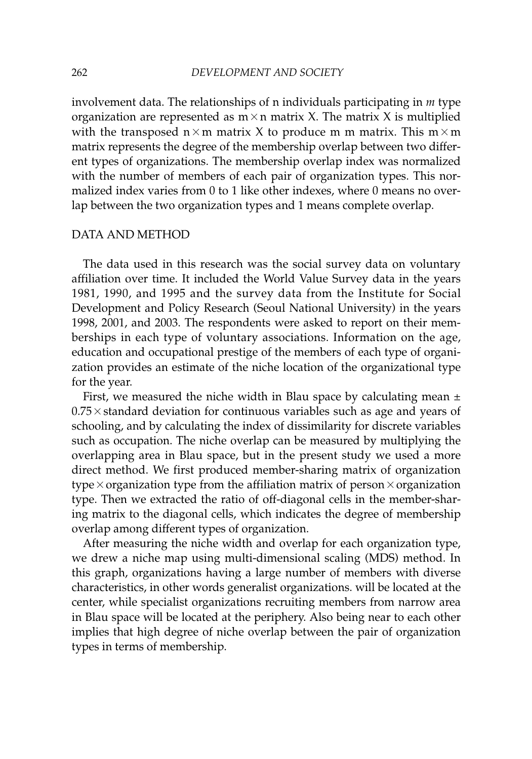involvement data. The relationships of n individuals participating in *m* type organization are represented as  $m \times n$  matrix X. The matrix X is multiplied with the transposed  $n \times m$  matrix X to produce m m matrix. This  $m \times m$ matrix represents the degree of the membership overlap between two different types of organizations. The membership overlap index was normalized with the number of members of each pair of organization types. This normalized index varies from 0 to 1 like other indexes, where 0 means no overlap between the two organization types and 1 means complete overlap.

## DATA AND METHOD

The data used in this research was the social survey data on voluntary affiliation over time. It included the World Value Survey data in the years 1981, 1990, and 1995 and the survey data from the Institute for Social Development and Policy Research (Seoul National University) in the years 1998, 2001, and 2003. The respondents were asked to report on their memberships in each type of voluntary associations. Information on the age, education and occupational prestige of the members of each type of organization provides an estimate of the niche location of the organizational type for the year.

First, we measured the niche width in Blau space by calculating mean  $\pm$  $0.75\times$  standard deviation for continuous variables such as age and years of schooling, and by calculating the index of dissimilarity for discrete variables such as occupation. The niche overlap can be measured by multiplying the overlapping area in Blau space, but in the present study we used a more direct method. We first produced member-sharing matrix of organization type $\times$ organization type from the affiliation matrix of person $\times$ organization type. Then we extracted the ratio of off-diagonal cells in the member-sharing matrix to the diagonal cells, which indicates the degree of membership overlap among different types of organization.

After measuring the niche width and overlap for each organization type, we drew a niche map using multi-dimensional scaling (MDS) method. In this graph, organizations having a large number of members with diverse characteristics, in other words generalist organizations. will be located at the center, while specialist organizations recruiting members from narrow area in Blau space will be located at the periphery. Also being near to each other implies that high degree of niche overlap between the pair of organization types in terms of membership.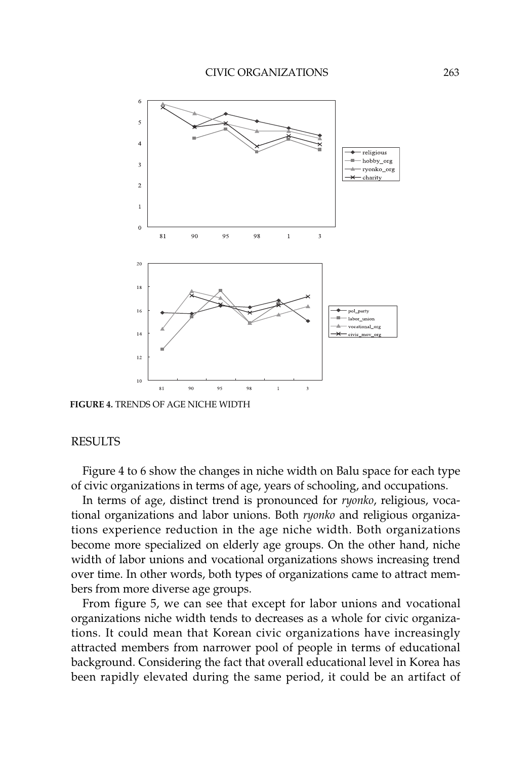

**FIGURE 4.** TRENDS OF AGE NICHE WIDTH

### RESULTS

Figure 4 to 6 show the changes in niche width on Balu space for each type of civic organizations in terms of age, years of schooling, and occupations.

In terms of age, distinct trend is pronounced for *ryonko*, religious, vocational organizations and labor unions. Both *ryonko* and religious organizations experience reduction in the age niche width. Both organizations become more specialized on elderly age groups. On the other hand, niche width of labor unions and vocational organizations shows increasing trend over time. In other words, both types of organizations came to attract members from more diverse age groups.

From figure 5, we can see that except for labor unions and vocational organizations niche width tends to decreases as a whole for civic organizations. It could mean that Korean civic organizations have increasingly attracted members from narrower pool of people in terms of educational background. Considering the fact that overall educational level in Korea has been rapidly elevated during the same period, it could be an artifact of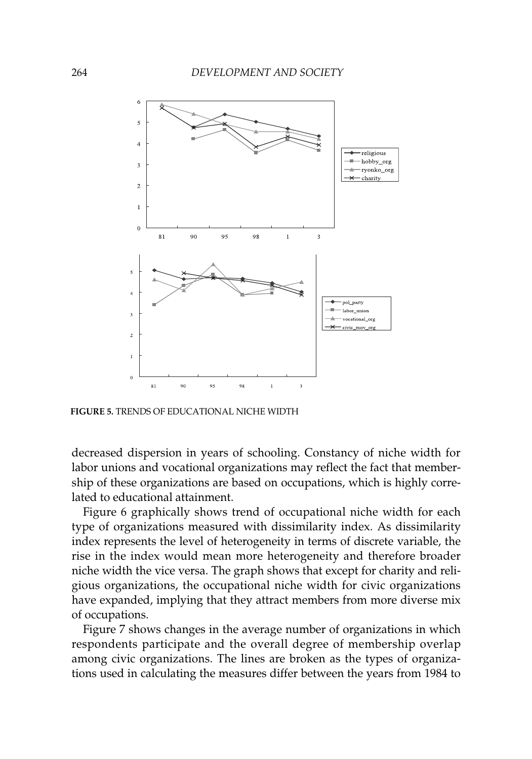

**FIGURE 5.** TRENDS OF EDUCATIONAL NICHE WIDTH

decreased dispersion in years of schooling. Constancy of niche width for labor unions and vocational organizations may reflect the fact that membership of these organizations are based on occupations, which is highly correlated to educational attainment.

Figure 6 graphically shows trend of occupational niche width for each type of organizations measured with dissimilarity index. As dissimilarity index represents the level of heterogeneity in terms of discrete variable, the rise in the index would mean more heterogeneity and therefore broader niche width the vice versa. The graph shows that except for charity and religious organizations, the occupational niche width for civic organizations have expanded, implying that they attract members from more diverse mix of occupations.

Figure 7 shows changes in the average number of organizations in which respondents participate and the overall degree of membership overlap among civic organizations. The lines are broken as the types of organizations used in calculating the measures differ between the years from 1984 to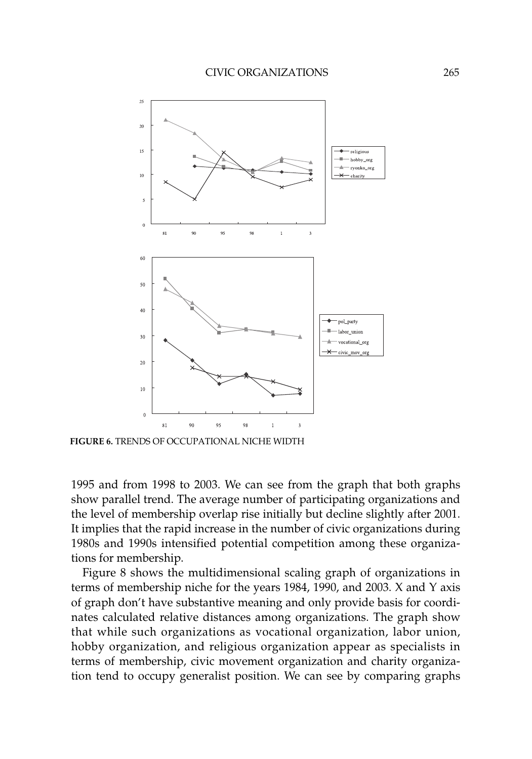

**FIGURE 6.** TRENDS OF OCCUPATIONAL NICHE WIDTH

1995 and from 1998 to 2003. We can see from the graph that both graphs show parallel trend. The average number of participating organizations and the level of membership overlap rise initially but decline slightly after 2001. It implies that the rapid increase in the number of civic organizations during 1980s and 1990s intensified potential competition among these organizations for membership.

Figure 8 shows the multidimensional scaling graph of organizations in terms of membership niche for the years 1984, 1990, and 2003. X and Y axis of graph don't have substantive meaning and only provide basis for coordinates calculated relative distances among organizations. The graph show that while such organizations as vocational organization, labor union, hobby organization, and religious organization appear as specialists in terms of membership, civic movement organization and charity organization tend to occupy generalist position. We can see by comparing graphs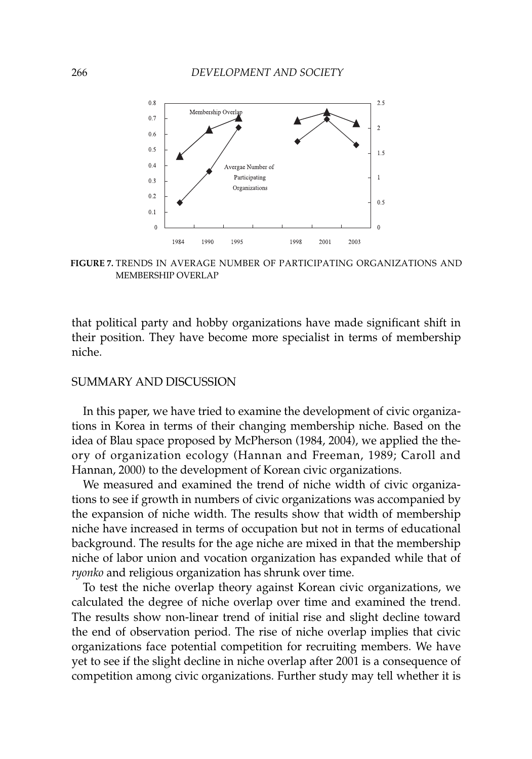

**FIGURE 7.** TRENDS IN AVERAGE NUMBER OF PARTICIPATING ORGANIZATIONS AND MEMBERSHIP OVERLAP

that political party and hobby organizations have made significant shift in their position. They have become more specialist in terms of membership niche.

### SUMMARY AND DISCUSSION

In this paper, we have tried to examine the development of civic organizations in Korea in terms of their changing membership niche. Based on the idea of Blau space proposed by McPherson (1984, 2004), we applied the theory of organization ecology (Hannan and Freeman, 1989; Caroll and Hannan, 2000) to the development of Korean civic organizations.

We measured and examined the trend of niche width of civic organizations to see if growth in numbers of civic organizations was accompanied by the expansion of niche width. The results show that width of membership niche have increased in terms of occupation but not in terms of educational background. The results for the age niche are mixed in that the membership niche of labor union and vocation organization has expanded while that of *ryonko* and religious organization has shrunk over time.

To test the niche overlap theory against Korean civic organizations, we calculated the degree of niche overlap over time and examined the trend. The results show non-linear trend of initial rise and slight decline toward the end of observation period. The rise of niche overlap implies that civic organizations face potential competition for recruiting members. We have yet to see if the slight decline in niche overlap after 2001 is a consequence of competition among civic organizations. Further study may tell whether it is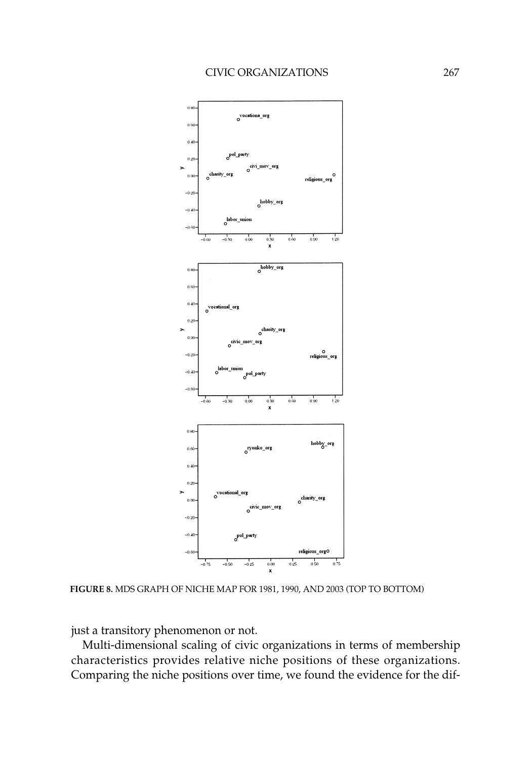

**FIGURE 8.** MDS GRAPH OF NICHE MAP FOR 1981, 1990, AND 2003 (TOP TO BOTTOM)

just a transitory phenomenon or not.

Multi-dimensional scaling of civic organizations in terms of membership characteristics provides relative niche positions of these organizations. Comparing the niche positions over time, we found the evidence for the dif-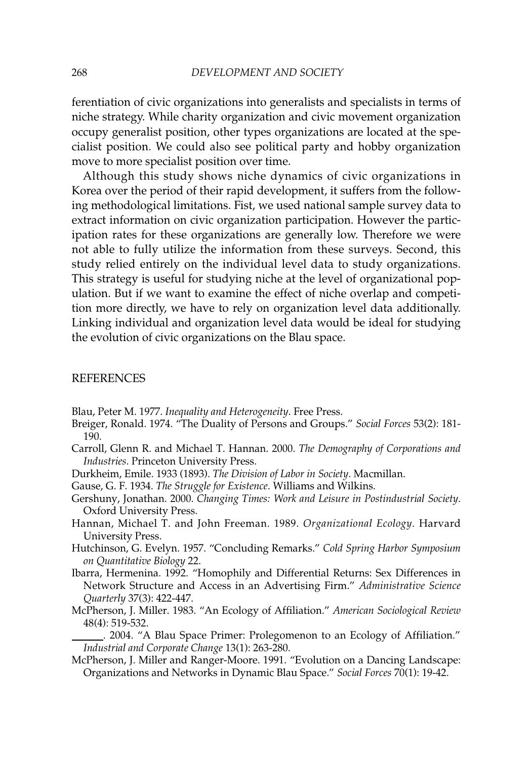ferentiation of civic organizations into generalists and specialists in terms of niche strategy. While charity organization and civic movement organization occupy generalist position, other types organizations are located at the specialist position. We could also see political party and hobby organization move to more specialist position over time.

Although this study shows niche dynamics of civic organizations in Korea over the period of their rapid development, it suffers from the following methodological limitations. Fist, we used national sample survey data to extract information on civic organization participation. However the participation rates for these organizations are generally low. Therefore we were not able to fully utilize the information from these surveys. Second, this study relied entirely on the individual level data to study organizations. This strategy is useful for studying niche at the level of organizational population. But if we want to examine the effect of niche overlap and competition more directly, we have to rely on organization level data additionally. Linking individual and organization level data would be ideal for studying the evolution of civic organizations on the Blau space.

### REFERENCES

Blau, Peter M. 1977. *Inequality and Heterogeneity*. Free Press.

- Breiger, Ronald. 1974. "The Duality of Persons and Groups." *Social Forces* 53(2): 181- 190.
- Carroll, Glenn R. and Michael T. Hannan. 2000. *The Demography of Corporations and Industries*. Princeton University Press.
- Durkheim, Emile. 1933 (1893). *The Division of Labor in Society*. Macmillan.
- Gause, G. F. 1934. *The Struggle for Existence*. Williams and Wilkins.
- Gershuny, Jonathan. 2000. *Changing Times: Work and Leisure in Postindustrial Society*. Oxford University Press.
- Hannan, Michael T. and John Freeman. 1989. *Organizational Ecology*. Harvard University Press.
- Hutchinson, G. Evelyn. 1957. "Concluding Remarks." *Cold Spring Harbor Symposium on Quantitative Biology* 22.
- Ibarra, Hermenina. 1992. "Homophily and Differential Returns: Sex Differences in Network Structure and Access in an Advertising Firm." *Administrative Science Quarterly* 37(3): 422-447.
- McPherson, J. Miller. 1983. "An Ecology of Affiliation." *American Sociological Review* 48(4): 519-532.
- . 2004. "A Blau Space Primer: Prolegomenon to an Ecology of Affiliation." *Industrial and Corporate Change* 13(1): 263-280.
- McPherson, J. Miller and Ranger-Moore. 1991. "Evolution on a Dancing Landscape: Organizations and Networks in Dynamic Blau Space." *Social Forces* 70(1): 19-42.